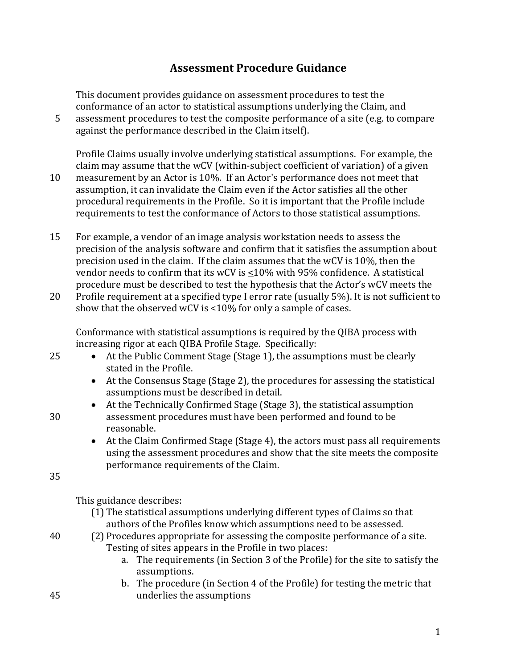# **Assessment Procedure Guidance**

This document provides guidance on assessment procedures to test the conformance of an actor to statistical assumptions underlying the Claim, and

5 assessment procedures to test the composite performance of a site (e.g. to compare against the performance described in the Claim itself).

Profile Claims usually involve underlying statistical assumptions. For example, the claim may assume that the wCV (within-subject coefficient of variation) of a given 10 measurement by an Actor is 10%. If an Actor's performance does not meet that assumption, it can invalidate the Claim even if the Actor satisfies all the other procedural requirements in the Profile. So it is important that the Profile include requirements to test the conformance of Actors to those statistical assumptions.

- 15 For example, a vendor of an image analysis workstation needs to assess the precision of the analysis software and confirm that it satisfies the assumption about precision used in the claim. If the claim assumes that the wCV is 10%, then the vendor needs to confirm that its wCV is  $\leq$ 10% with 95% confidence. A statistical procedure must be described to test the hypothesis that the Actor's wCV meets the
- 20 Profile requirement at a specified type I error rate (usually 5%). It is not sufficient to show that the observed wCV is <10% for only a sample of cases.

Conformance with statistical assumptions is required by the QIBA process with increasing rigor at each QIBA Profile Stage. Specifically:

- 25 At the Public Comment Stage (Stage 1), the assumptions must be clearly stated in the Profile.
	- At the Consensus Stage (Stage 2), the procedures for assessing the statistical assumptions must be described in detail.
- At the Technically Confirmed Stage (Stage 3), the statistical assumption 30 assessment procedures must have been performed and found to be reasonable.
	- At the Claim Confirmed Stage (Stage 4), the actors must pass all requirements using the assessment procedures and show that the site meets the composite performance requirements of the Claim.

35

This guidance describes:

- (1) The statistical assumptions underlying different types of Claims so that authors of the Profiles know which assumptions need to be assessed.
- 40 (2) Procedures appropriate for assessing the composite performance of a site. Testing of sites appears in the Profile in two places:
	- a. The requirements (in Section 3 of the Profile) for the site to satisfy the assumptions.
- b. The procedure (in Section 4 of the Profile) for testing the metric that 45 underlies the assumptions

1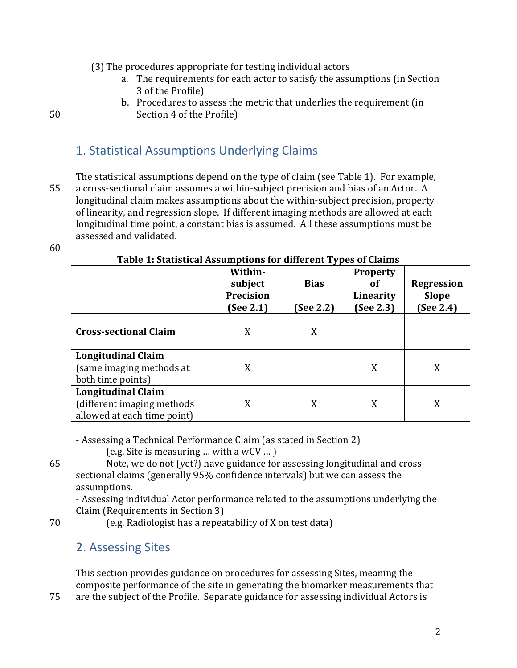(3) The procedures appropriate for testing individual actors

- a. The requirements for each actor to satisfy the assumptions (in Section 3 of the Profile)
- b. Procedures to assess the metric that underlies the requirement (in 50 Section 4 of the Profile)

# 1. Statistical Assumptions Underlying Claims

The statistical assumptions depend on the type of claim (see Table 1). For example, 55 a cross-sectional claim assumes a within-subject precision and bias of an Actor. A longitudinal claim makes assumptions about the within-subject precision, property of linearity, and regression slope. If different imaging methods are allowed at each longitudinal time point, a constant bias is assumed. All these assumptions must be assessed and validated.

60

|                                                                                         | Within-<br>subject<br><b>Precision</b><br>(See 2.1) | <b>Bias</b><br>(See 2.2) | <b>Property</b><br>οf<br>Linearity<br>(See 2.3) | <b>Regression</b><br><b>Slope</b><br>(See 2.4) |
|-----------------------------------------------------------------------------------------|-----------------------------------------------------|--------------------------|-------------------------------------------------|------------------------------------------------|
| <b>Cross-sectional Claim</b>                                                            | X                                                   | X                        |                                                 |                                                |
| <b>Longitudinal Claim</b><br>(same imaging methods at<br>both time points)              | X                                                   |                          | X                                               | X                                              |
| <b>Longitudinal Claim</b><br>(different imaging methods)<br>allowed at each time point) | X                                                   | X                        | X                                               | X                                              |

### **Table 1: Statistical Assumptions for different Types of Claims**

- Assessing a Technical Performance Claim (as stated in Section 2)

(e.g. Site is measuring … with a wCV … )

65 Note, we do not (yet?) have guidance for assessing longitudinal and crosssectional claims (generally 95% confidence intervals) but we can assess the assumptions.

- Assessing individual Actor performance related to the assumptions underlying the Claim (Requirements in Section 3)

70 (e.g. Radiologist has a repeatability of X on test data)

# 2. Assessing Sites

This section provides guidance on procedures for assessing Sites, meaning the composite performance of the site in generating the biomarker measurements that 75 are the subject of the Profile. Separate guidance for assessing individual Actors is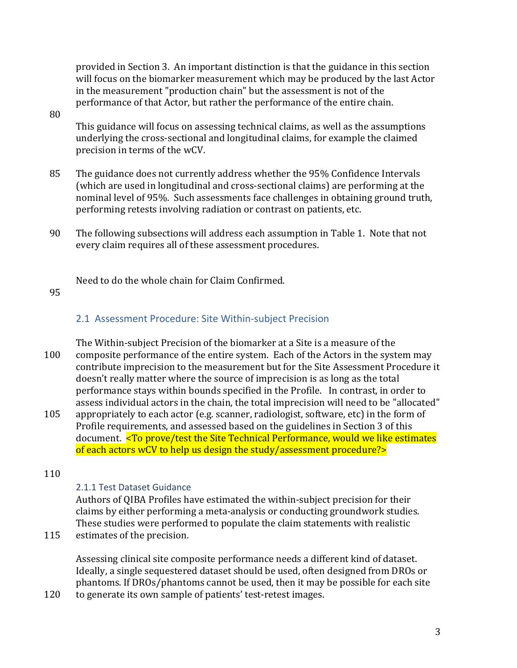provided in Section 3. An important distinction is that the guidance in this section will focus on the biomarker measurement which may be produced by the last Actor in the measurement "production chain" but the assessment is not of the performance of that Actor, but rather the performance of the entire chain.

#### 80

This guidance will focus on assessing technical claims, as well as the assumptions underlying the cross-sectional and longitudinal claims, for example the claimed precision in terms of the wCV.

- 85 The guidance does not currently address whether the 95% Confidence Intervals (which are used in longitudinal and cross-sectional claims) are performing at the nominal level of 95%. Such assessments face challenges in obtaining ground truth, performing retests involving radiation or contrast on patients, etc.
- 90 The following subsections will address each assumption in Table 1. Note that not every claim requires all of these assessment procedures.

Need to do the whole chain for Claim Confirmed.

#### 95

### 2.1 Assessment Procedure: Site Within-subject Precision

The Within-subject Precision of the biomarker at a Site is a measure of the 100 composite performance of the entire system. Each of the Actors in the system may contribute imprecision to the measurement but for the Site Assessment Procedure it doesn't really matter where the source of imprecision is as long as the total performance stays within bounds specified in the Profile. In contrast, in order to assess individual actors in the chain, the total imprecision will need to be "allocated"

105 appropriately to each actor (e.g. scanner, radiologist, software, etc) in the form of Profile requirements, and assessed based on the guidelines in Section 3 of this document. <To prove/test the Site Technical Performance, would we like estimates of each actors wCV to help us design the study/assessment procedure?>

#### 110

### 2.1.1 Test Dataset Guidance

Authors of QIBA Profiles have estimated the within-subject precision for their claims by either performing a meta-analysis or conducting groundwork studies. These studies were performed to populate the claim statements with realistic

115 estimates of the precision.

Assessing clinical site composite performance needs a different kind of dataset. Ideally, a single sequestered dataset should be used, often designed from DROs or phantoms. If DROs/phantoms cannot be used, then it may be possible for each site

120 to generate its own sample of patients' test-retest images.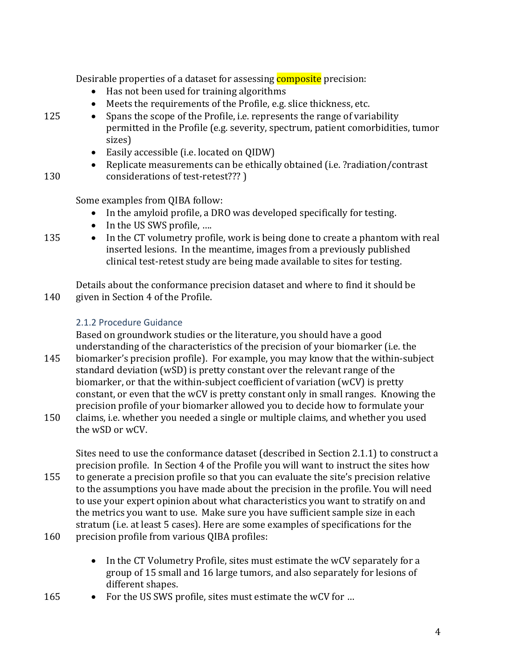Desirable properties of a dataset for assessing **composite** precision:

- Has not been used for training algorithms
- Meets the requirements of the Profile, e.g. slice thickness, etc.
- 125 Spans the scope of the Profile, i.e. represents the range of variability permitted in the Profile (e.g. severity, spectrum, patient comorbidities, tumor sizes)
	- Easily accessible (i.e. located on QIDW)
- Replicate measurements can be ethically obtained (i.e. ?radiation/contrast 130 considerations of test-retest??? )

Some examples from QIBA follow:

- In the amyloid profile, a DRO was developed specifically for testing.
- In the US SWS profile, ....
- 
- 135 In the CT volumetry profile, work is being done to create a phantom with real inserted lesions. In the meantime, images from a previously published clinical test-retest study are being made available to sites for testing.

Details about the conformance precision dataset and where to find it should be 140 given in Section 4 of the Profile.

## 2.1.2 Procedure Guidance

Based on groundwork studies or the literature, you should have a good understanding of the characteristics of the precision of your biomarker (i.e. the 145 biomarker's precision profile). For example, you may know that the within-subject

- standard deviation (wSD) is pretty constant over the relevant range of the biomarker, or that the within-subject coefficient of variation (wCV) is pretty constant, or even that the wCV is pretty constant only in small ranges. Knowing the precision profile of your biomarker allowed you to decide how to formulate your
- 150 claims, i.e. whether you needed a single or multiple claims, and whether you used the wSD or wCV.

Sites need to use the conformance dataset (described in Section 2.1.1) to construct a precision profile. In Section 4 of the Profile you will want to instruct the sites how

- 155 to generate a precision profile so that you can evaluate the site's precision relative to the assumptions you have made about the precision in the profile. You will need to use your expert opinion about what characteristics you want to stratify on and the metrics you want to use. Make sure you have sufficient sample size in each stratum (i.e. at least 5 cases). Here are some examples of specifications for the
- 160 precision profile from various QIBA profiles:
	- In the CT Volumetry Profile, sites must estimate the wCV separately for a group of 15 small and 16 large tumors, and also separately for lesions of different shapes.
- 165 For the US SWS profile, sites must estimate the wCV for ...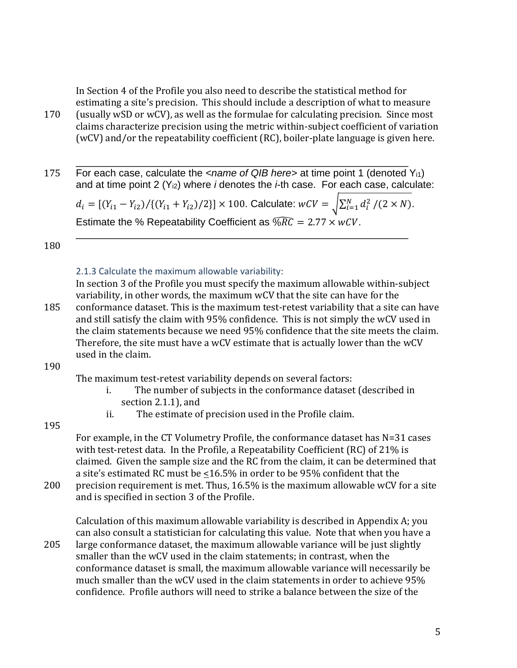In Section 4 of the Profile you also need to describe the statistical method for estimating a site's precision. This should include a description of what to measure 170 (usually wSD or wCV), as well as the formulae for calculating precision. Since most claims characterize precision using the metric within-subject coefficient of variation (wCV) and/or the repeatability coefficient (RC), boiler-plate language is given here.

\_\_\_\_\_\_\_\_\_\_\_\_\_\_\_\_\_\_\_\_\_\_\_\_\_\_\_\_\_\_\_\_\_\_\_\_\_\_\_\_\_\_\_\_\_\_\_\_\_\_\_\_\_\_\_\_\_\_\_ 175 For each case, calculate the *<name of QIB here>* at time point 1 (denoted Yi1) and at time point 2 (Yi2) where *i* denotes the *i*-th case. For each case, calculate:

 $d_i = \frac{(Y_{i1} - Y_{i2})}{(Y_{i1} + Y_{i2})/2}\times 100$ . Calculate:  $wCV = \sqrt{\sum_{i=1}^{N} d_i^2 / (2 \times N)}$ . Estimate the % Repeatability Coefficient as  $\sqrt{MC} = 2.77 \times wCV$ . \_\_\_\_\_\_\_\_\_\_\_\_\_\_\_\_\_\_\_\_\_\_\_\_\_\_\_\_\_\_\_\_\_\_\_\_\_\_\_\_\_\_\_\_\_\_\_\_\_\_\_\_\_\_\_\_\_\_\_

180

#### 2.1.3 Calculate the maximum allowable variability:

In section 3 of the Profile you must specify the maximum allowable within-subject variability, in other words, the maximum wCV that the site can have for the

185 conformance dataset. This is the maximum test-retest variability that a site can have and still satisfy the claim with 95% confidence. This is not simply the wCV used in the claim statements because we need 95% confidence that the site meets the claim. Therefore, the site must have a wCV estimate that is actually lower than the wCV used in the claim.

#### 190

The maximum test-retest variability depends on several factors:

- i. The number of subjects in the conformance dataset (described in section 2.1.1), and
- ii. The estimate of precision used in the Profile claim.

#### 195

For example, in the CT Volumetry Profile, the conformance dataset has N=31 cases with test-retest data. In the Profile, a Repeatability Coefficient (RC) of 21% is claimed. Given the sample size and the RC from the claim, it can be determined that a site's estimated RC must be  $\leq 16.5\%$  in order to be 95% confident that the

200 precision requirement is met. Thus, 16.5% is the maximum allowable wCV for a site and is specified in section 3 of the Profile.

Calculation of this maximum allowable variability is described in Appendix A; you can also consult a statistician for calculating this value. Note that when you have a 205 large conformance dataset, the maximum allowable variance will be just slightly smaller than the wCV used in the claim statements; in contrast, when the conformance dataset is small, the maximum allowable variance will necessarily be much smaller than the wCV used in the claim statements in order to achieve 95% confidence. Profile authors will need to strike a balance between the size of the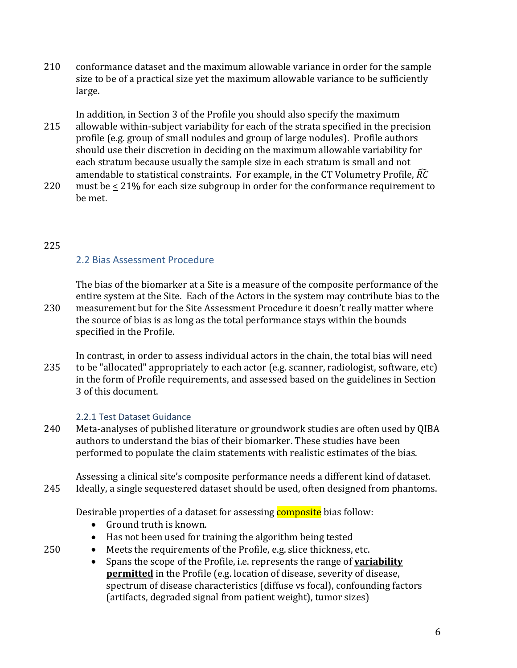210 conformance dataset and the maximum allowable variance in order for the sample size to be of a practical size yet the maximum allowable variance to be sufficiently large.

In addition, in Section 3 of the Profile you should also specify the maximum 215 allowable within-subject variability for each of the strata specified in the precision profile (e.g. group of small nodules and group of large nodules). Profile authors should use their discretion in deciding on the maximum allowable variability for each stratum because usually the sample size in each stratum is small and not amendable to statistical constraints. For example, in the CT Volumetry Profile,  $\widehat{RC}$ 

220 must be < 21% for each size subgroup in order for the conformance requirement to be met.

# 225

# 2.2 Bias Assessment Procedure

The bias of the biomarker at a Site is a measure of the composite performance of the entire system at the Site. Each of the Actors in the system may contribute bias to the 230 measurement but for the Site Assessment Procedure it doesn't really matter where the source of bias is as long as the total performance stays within the bounds specified in the Profile.

In contrast, in order to assess individual actors in the chain, the total bias will need 235 to be "allocated" appropriately to each actor (e.g. scanner, radiologist, software, etc) in the form of Profile requirements, and assessed based on the guidelines in Section 3 of this document.

## 2.2.1 Test Dataset Guidance

240 Meta-analyses of published literature or groundwork studies are often used by QIBA authors to understand the bias of their biomarker. These studies have been performed to populate the claim statements with realistic estimates of the bias.

Assessing a clinical site's composite performance needs a different kind of dataset. 245 Ideally, a single sequestered dataset should be used, often designed from phantoms.

Desirable properties of a dataset for assessing **composite** bias follow:

- Ground truth is known.
- Has not been used for training the algorithm being tested
- 250 Meets the requirements of the Profile, e.g. slice thickness, etc.
	- Spans the scope of the Profile, i.e. represents the range of **variability permitted** in the Profile (e.g. location of disease, severity of disease, spectrum of disease characteristics (diffuse vs focal), confounding factors (artifacts, degraded signal from patient weight), tumor sizes)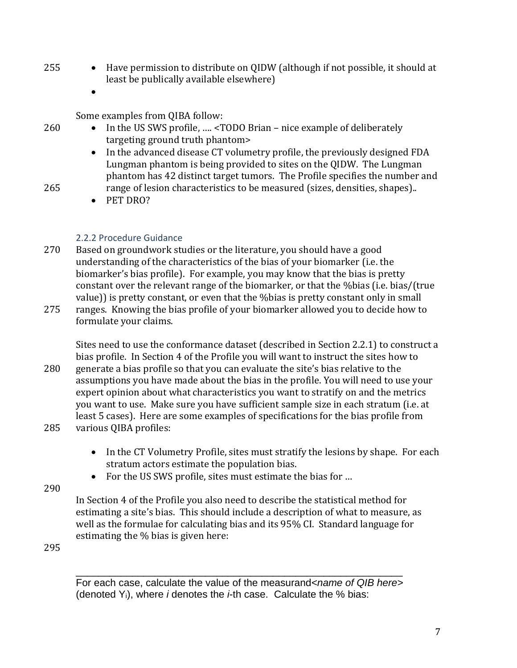- 255 Have permission to distribute on QIDW (although if not possible, it should at least be publically available elsewhere)
	- $\bullet$

Some examples from QIBA follow:

- 260 In the US SWS profile, .... <TODO Brian nice example of deliberately targeting ground truth phantom>
	- In the advanced disease CT volumetry profile, the previously designed FDA Lungman phantom is being provided to sites on the QIDW. The Lungman phantom has 42 distinct target tumors. The Profile specifies the number and
- 265 range of lesion characteristics to be measured (sizes, densities, shapes)..
	- PET DRO?

## 2.2.2 Procedure Guidance

- 270 Based on groundwork studies or the literature, you should have a good understanding of the characteristics of the bias of your biomarker (i.e. the biomarker's bias profile). For example, you may know that the bias is pretty constant over the relevant range of the biomarker, or that the %bias (i.e. bias/(true value)) is pretty constant, or even that the %bias is pretty constant only in small
- 275 ranges. Knowing the bias profile of your biomarker allowed you to decide how to formulate your claims.

Sites need to use the conformance dataset (described in Section 2.2.1) to construct a bias profile. In Section 4 of the Profile you will want to instruct the sites how to

- 280 generate a bias profile so that you can evaluate the site's bias relative to the assumptions you have made about the bias in the profile. You will need to use your expert opinion about what characteristics you want to stratify on and the metrics you want to use. Make sure you have sufficient sample size in each stratum (i.e. at least 5 cases). Here are some examples of specifications for the bias profile from 285 various QIBA profiles:
	- In the CT Volumetry Profile, sites must stratify the lesions by shape. For each stratum actors estimate the population bias.
	- For the US SWS profile, sites must estimate the bias for ...
- 290

In Section 4 of the Profile you also need to describe the statistical method for estimating a site's bias. This should include a description of what to measure, as well as the formulae for calculating bias and its 95% CI. Standard language for estimating the % bias is given here:

295

For each case, calculate the value of the measurand<name of QIB here> (denoted Yi), where *i* denotes the *i*-th case. Calculate the % bias:

\_\_\_\_\_\_\_\_\_\_\_\_\_\_\_\_\_\_\_\_\_\_\_\_\_\_\_\_\_\_\_\_\_\_\_\_\_\_\_\_\_\_\_\_\_\_\_\_\_\_\_\_\_\_\_\_\_\_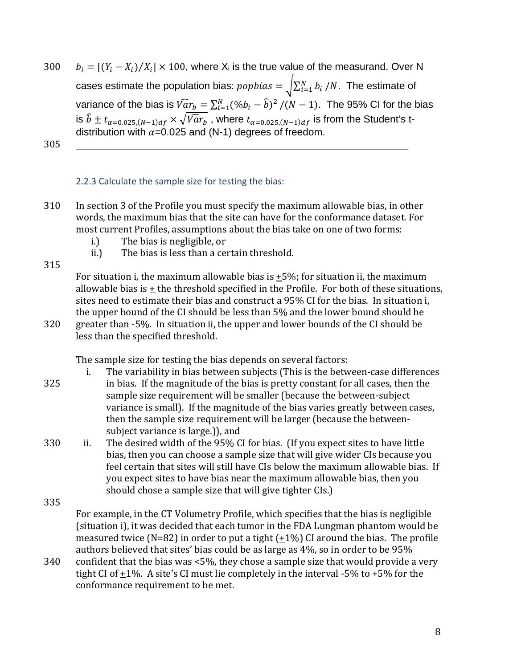300  $b_i = [(Y_i - X_i)/X_i] \times 100$ , where  $X_i$  is the true value of the measurand. Over N cases estimate the population bias:  $popbias = \sqrt{\sum_{i=1}^{N} b_i / N}$ . The estimate of variance of the bias is  $\widehat{Var}_b = \sum_{i=1}^{N} (\% b_i - \widehat{b})^2 / (N-1)$ . The 95% CI for the bias is  $\hat{b} \pm t_{\alpha=0.025,(N-1)d_f} \times \sqrt{\widehat{Var}_b}$ , where  $t_{\alpha=0.025,(N-1)d_f}$  is from the Student's tdistribution with  $\alpha$ =0.025 and (N-1) degrees of freedom. 305 \_\_\_\_\_\_\_\_\_\_\_\_\_\_\_\_\_\_\_\_\_\_\_\_\_\_\_\_\_\_\_\_\_\_\_\_\_\_\_\_\_\_\_\_\_\_\_\_\_\_\_\_\_\_\_\_\_\_\_

## 2.2.3 Calculate the sample size for testing the bias:

- 310 In section 3 of the Profile you must specify the maximum allowable bias, in other words, the maximum bias that the site can have for the conformance dataset. For most current Profiles, assumptions about the bias take on one of two forms:
	- i.) The bias is negligible, or
	- ii.) The bias is less than a certain threshold.

315

For situation i, the maximum allowable bias is  $\pm$ 5%; for situation ii, the maximum allowable bias is + the threshold specified in the Profile. For both of these situations, sites need to estimate their bias and construct a 95% CI for the bias. In situation i, the upper bound of the CI should be less than 5% and the lower bound should be 320 greater than -5%. In situation ii, the upper and lower bounds of the CI should be less than the specified threshold.

The sample size for testing the bias depends on several factors:

- i. The variability in bias between subjects (This is the between-case differences
- 325 in bias. If the magnitude of the bias is pretty constant for all cases, then the sample size requirement will be smaller (because the between-subject variance is small). If the magnitude of the bias varies greatly between cases, then the sample size requirement will be larger (because the betweensubject variance is large.)), and
- 330 ii. The desired width of the 95% CI for bias. (If you expect sites to have little bias, then you can choose a sample size that will give wider CIs because you feel certain that sites will still have CIs below the maximum allowable bias. If you expect sites to have bias near the maximum allowable bias, then you should chose a sample size that will give tighter CIs.)
- 335 For example, in the CT Volumetry Profile, which specifies that the bias is negligible (situation i), it was decided that each tumor in the FDA Lungman phantom would be measured twice (N=82) in order to put a tight  $(+1%)$  CI around the bias. The profile authors believed that sites' bias could be as large as 4%, so in order to be 95%
- 340 confident that the bias was <5%, they chose a sample size that would provide a very tight CI of  $\pm 1\%$ . A site's CI must lie completely in the interval -5% to +5% for the conformance requirement to be met.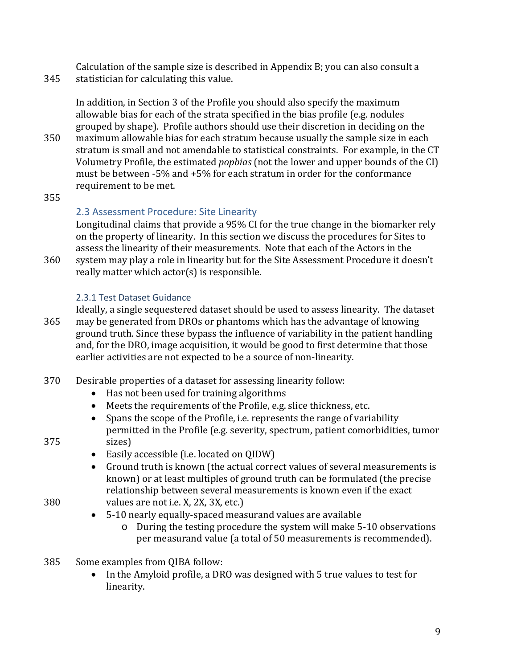Calculation of the sample size is described in Appendix B; you can also consult a 345 statistician for calculating this value.

In addition, in Section 3 of the Profile you should also specify the maximum allowable bias for each of the strata specified in the bias profile (e.g. nodules grouped by shape). Profile authors should use their discretion in deciding on the

- 350 maximum allowable bias for each stratum because usually the sample size in each stratum is small and not amendable to statistical constraints. For example, in the CT Volumetry Profile, the estimated *popbias* (not the lower and upper bounds of the CI) must be between -5% and +5% for each stratum in order for the conformance requirement to be met.
- 355

# 2.3 Assessment Procedure: Site Linearity

Longitudinal claims that provide a 95% CI for the true change in the biomarker rely on the property of linearity. In this section we discuss the procedures for Sites to assess the linearity of their measurements. Note that each of the Actors in the

360 system may play a role in linearity but for the Site Assessment Procedure it doesn't really matter which actor(s) is responsible.

## 2.3.1 Test Dataset Guidance

Ideally, a single sequestered dataset should be used to assess linearity. The dataset 365 may be generated from DROs or phantoms which has the advantage of knowing ground truth. Since these bypass the influence of variability in the patient handling and, for the DRO, image acquisition, it would be good to first determine that those earlier activities are not expected to be a source of non-linearity.

- 370 Desirable properties of a dataset for assessing linearity follow:
	- Has not been used for training algorithms
	- Meets the requirements of the Profile, e.g. slice thickness, etc.
- Spans the scope of the Profile, i.e. represents the range of variability permitted in the Profile (e.g. severity, spectrum, patient comorbidities, tumor 375 sizes)
	- Easily accessible (i.e. located on QIDW)
- Ground truth is known (the actual correct values of several measurements is known) or at least multiples of ground truth can be formulated (the precise relationship between several measurements is known even if the exact 380 values are not i.e. X, 2X, 3X, etc.)
	-
	- 5-10 nearly equally-spaced measurand values are available
		- o During the testing procedure the system will make 5-10 observations per measurand value (a total of 50 measurements is recommended).
- 385 Some examples from QIBA follow:
	- In the Amyloid profile, a DRO was designed with 5 true values to test for linearity.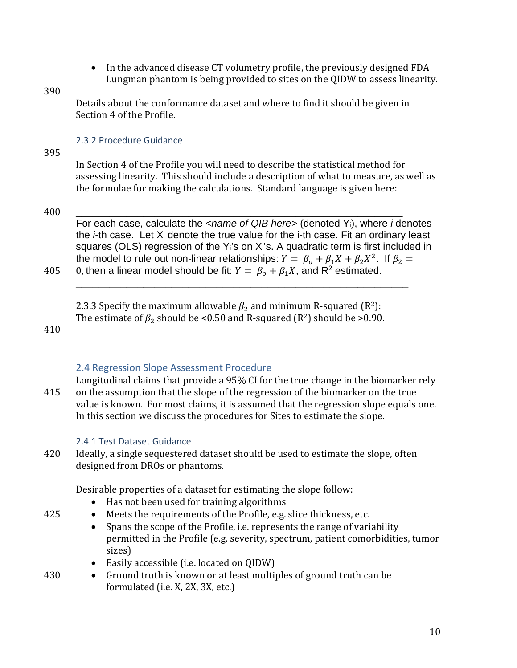• In the advanced disease CT volumetry profile, the previously designed FDA Lungman phantom is being provided to sites on the QIDW to assess linearity.

#### 390

Details about the conformance dataset and where to find it should be given in Section 4 of the Profile.

#### 2.3.2 Procedure Guidance

395

In Section 4 of the Profile you will need to describe the statistical method for assessing linearity. This should include a description of what to measure, as well as the formulae for making the calculations. Standard language is given here:

### 400 \_\_\_\_\_\_\_\_\_\_\_\_\_\_\_\_\_\_\_\_\_\_\_\_\_\_\_\_\_\_\_\_\_\_\_\_\_\_\_\_\_\_\_\_\_\_\_\_\_\_\_\_\_\_\_\_\_\_

For each case, calculate the *<name of QIB here>* (denoted Yi), where *i* denotes the *i*-th case. Let Xi denote the true value for the i-th case. Fit an ordinary least squares (OLS) regression of the Y<sub>i</sub>'s on X<sub>i</sub>'s. A quadratic term is first included in the model to rule out non-linear relationships:  $Y = \beta_o + \beta_1 X + \beta_2 X^2$ . If  $\beta_2 =$ 405 0, then a linear model should be fit:  $Y = \beta_o + \beta_1 X$ , and R<sup>2</sup> estimated. \_\_\_\_\_\_\_\_\_\_\_\_\_\_\_\_\_\_\_\_\_\_\_\_\_\_\_\_\_\_\_\_\_\_\_\_\_\_\_\_\_\_\_\_\_\_\_\_\_\_\_\_\_\_\_\_\_\_\_

2.3.3 Specify the maximum allowable  $\beta_2$  and minimum R-squared (R<sup>2</sup>): The estimate of  $\beta_2$  should be <0.50 and R-squared (R<sup>2</sup>) should be >0.90.

410

## 2.4 Regression Slope Assessment Procedure

Longitudinal claims that provide a 95% CI for the true change in the biomarker rely 415 on the assumption that the slope of the regression of the biomarker on the true value is known. For most claims, it is assumed that the regression slope equals one. In this section we discuss the procedures for Sites to estimate the slope.

### 2.4.1 Test Dataset Guidance

420 Ideally, a single sequestered dataset should be used to estimate the slope, often designed from DROs or phantoms.

Desirable properties of a dataset for estimating the slope follow:

- Has not been used for training algorithms
- 425 Meets the requirements of the Profile, e.g. slice thickness, etc.
	- Spans the scope of the Profile, i.e. represents the range of variability permitted in the Profile (e.g. severity, spectrum, patient comorbidities, tumor sizes)
	- Easily accessible (i.e. located on QIDW)
- 430 Ground truth is known or at least multiples of ground truth can be formulated (i.e. X, 2X, 3X, etc.)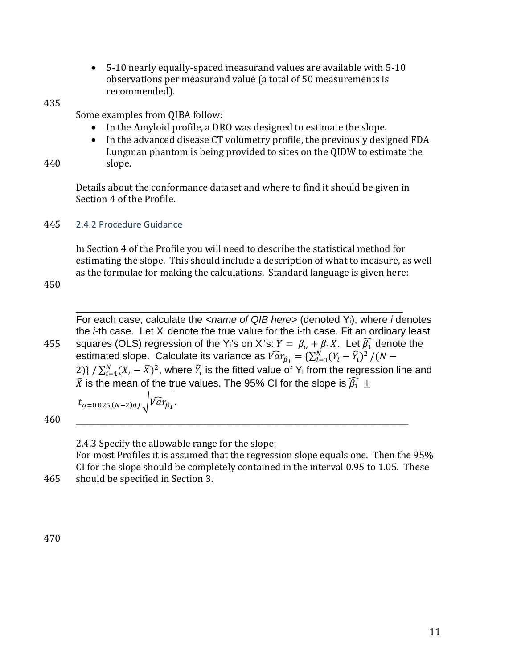- 5-10 nearly equally-spaced measurand values are available with 5-10 observations per measurand value (a total of 50 measurements is recommended).
- 435

Some examples from QIBA follow:

- In the Amyloid profile, a DRO was designed to estimate the slope.
- In the advanced disease CT volumetry profile, the previously designed FDA Lungman phantom is being provided to sites on the QIDW to estimate the 440 slope.

Details about the conformance dataset and where to find it should be given in Section 4 of the Profile.

445 2.4.2 Procedure Guidance

In Section 4 of the Profile you will need to describe the statistical method for estimating the slope. This should include a description of what to measure, as well as the formulae for making the calculations. Standard language is given here:

450

\_\_\_\_\_\_\_\_\_\_\_\_\_\_\_\_\_\_\_\_\_\_\_\_\_\_\_\_\_\_\_\_\_\_\_\_\_\_\_\_\_\_\_\_\_\_\_\_\_\_\_\_\_\_\_\_\_\_ For each case, calculate the *<name of QIB here>* (denoted Yi), where *i* denotes the *i*-th case. Let Xi denote the true value for the i-th case. Fit an ordinary least 455 squares (OLS) regression of the Y<sub>i</sub>'s on X<sub>i</sub>'s:  $Y = \beta_o + \beta_1 X$ . Let  $\widehat{\beta_1}$  denote the estimated slope. Calculate its variance as  $\widehat{Var}_{\beta_1} = \{\sum_{i=1}^N (Y_i - \widehat{Y}_i)^2 \: / \: (N - 1)\}$ 2)} /  $\sum_{i=1}^{N} (X_i - \bar{X})^2$ , where  $\widehat{Y}_i$  is the fitted value of Y<sub>i</sub> from the regression line and  $\bar{X}$  is the mean of the true values. The 95% CI for the slope is  $\widehat{\beta_1}\,\pm\,$ 

$$
t_{\alpha=0.025,(N-2)df}\sqrt{\sqrt{a}r_{\beta_1}}.
$$

460 \_\_\_\_\_\_\_\_\_\_\_\_\_\_\_\_\_\_\_\_\_\_\_\_\_\_\_\_\_\_\_\_\_\_\_\_\_\_\_\_\_\_\_\_\_\_\_\_\_\_\_\_\_\_\_\_\_\_\_

2.4.3 Specify the allowable range for the slope: For most Profiles it is assumed that the regression slope equals one. Then the 95% CI for the slope should be completely contained in the interval 0.95 to 1.05. These 465 should be specified in Section 3.

470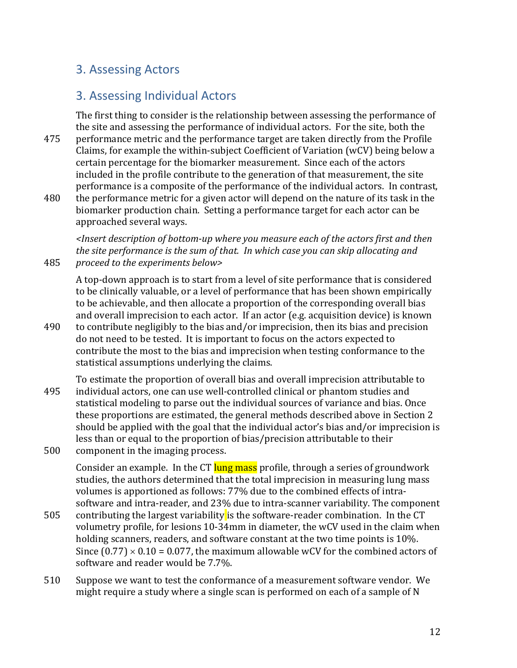# 3. Assessing Actors

# 3. Assessing Individual Actors

The first thing to consider is the relationship between assessing the performance of the site and assessing the performance of individual actors. For the site, both the 475 performance metric and the performance target are taken directly from the Profile Claims, for example the within-subject Coefficient of Variation (wCV) being below a certain percentage for the biomarker measurement. Since each of the actors included in the profile contribute to the generation of that measurement, the site performance is a composite of the performance of the individual actors. In contrast, 480 the performance metric for a given actor will depend on the nature of its task in the

biomarker production chain. Setting a performance target for each actor can be approached several ways.

*<Insert description of bottom-up where you measure each of the actors first and then the site performance is the sum of that. In which case you can skip allocating and*  485 *proceed to the experiments below>* 

A top-down approach is to start from a level of site performance that is considered to be clinically valuable, or a level of performance that has been shown empirically to be achievable, and then allocate a proportion of the corresponding overall bias and overall imprecision to each actor. If an actor (e.g. acquisition device) is known

- 490 to contribute negligibly to the bias and/or imprecision, then its bias and precision do not need to be tested. It is important to focus on the actors expected to contribute the most to the bias and imprecision when testing conformance to the statistical assumptions underlying the claims.
- To estimate the proportion of overall bias and overall imprecision attributable to 495 individual actors, one can use well-controlled clinical or phantom studies and statistical modeling to parse out the individual sources of variance and bias. Once these proportions are estimated, the general methods described above in Section 2 should be applied with the goal that the individual actor's bias and/or imprecision is less than or equal to the proportion of bias/precision attributable to their 500 component in the imaging process.

Consider an example. In the CT lung mass profile, through a series of groundwork studies, the authors determined that the total imprecision in measuring lung mass volumes is apportioned as follows: 77% due to the combined effects of intrasoftware and intra-reader, and 23% due to intra-scanner variability. The component

- 505 contributing the largest variability is the software-reader combination. In the CT volumetry profile, for lesions 10-34mm in diameter, the wCV used in the claim when holding scanners, readers, and software constant at the two time points is 10%. Since  $(0.77) \times 0.10 = 0.077$ , the maximum allowable wCV for the combined actors of software and reader would be 7.7%.
- 510 Suppose we want to test the conformance of a measurement software vendor. We might require a study where a single scan is performed on each of a sample of N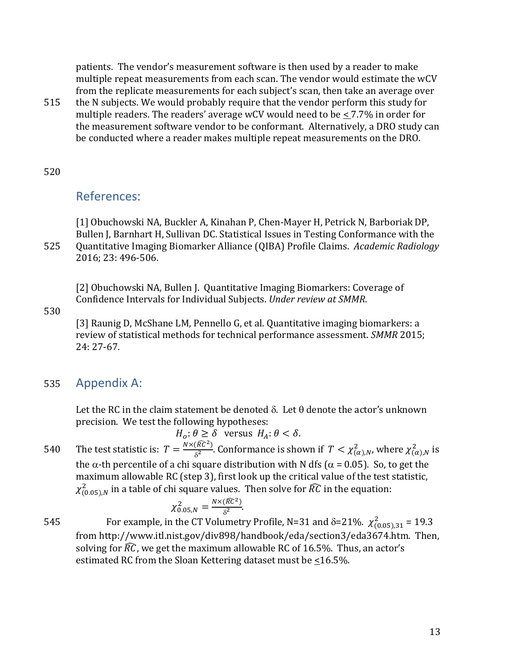patients. The vendor's measurement software is then used by a reader to make multiple repeat measurements from each scan. The vendor would estimate the wCV from the replicate measurements for each subject's scan, then take an average over

515 the N subjects. We would probably require that the vendor perform this study for multiple readers. The readers' average wCV would need to be  $\leq 7.7\%$  in order for the measurement software vendor to be conformant. Alternatively, a DRO study can be conducted where a reader makes multiple repeat measurements on the DRO.

#### 520

# References:

[1] Obuchowski NA, Buckler A, Kinahan P, Chen-Mayer H, Petrick N, Barboriak DP, Bullen J, Barnhart H, Sullivan DC. Statistical Issues in Testing Conformance with the 525 Quantitative Imaging Biomarker Alliance (QIBA) Profile Claims. *Academic Radiology*  2016; 23: 496-506.

[2] Obuchowski NA, Bullen J. Quantitative Imaging Biomarkers: Coverage of Confidence Intervals for Individual Subjects. *Under review at SMMR*.

530

[3] Raunig D, McShane LM, Pennello G, et al. Quantitative imaging biomarkers: a review of statistical methods for technical performance assessment. *SMMR* 2015; 24: 27-67.

## 535 Appendix A:

Let the RC in the claim statement be denoted  $\delta$ . Let  $\theta$  denote the actor's unknown precision. We test the following hypotheses:

 $H_o: \theta \geq \delta$  versus  $H_A: \theta < \delta$ .

540 The test statistic is:  $T = \frac{N \times (\widehat{RC}^2)}{\delta^2}$ . Conformance is shown if  $T < \chi^2_{(\alpha),N}$ , where  $\chi^2_{(\alpha),N}$  is the  $\alpha$ -th percentile of a chi square distribution with N dfs ( $\alpha$  = 0.05). So, to get the maximum allowable RC (step 3), first look up the critical value of the test statistic,  $\chi^2_{(0.05),N}$  in a table of chi square values. Then solve for  $\widehat{RC}$  in the equation:

$$
\chi_{0.05,N}^2 = \frac{N \times (\widehat{RC}^2)}{\delta^2}.
$$

545 For example, in the CT Volumetry Profile, N=31 and δ=21%.  $\chi^2_{(0.05),31}$  = 19.3 from http://www.itl.nist.gov/div898/handbook/eda/section3/eda3674.htm. Then, solving for  $\widehat{RC}$ , we get the maximum allowable RC of 16.5%. Thus, an actor's estimated RC from the Sloan Kettering dataset must be  $\leq 16.5\%$ .